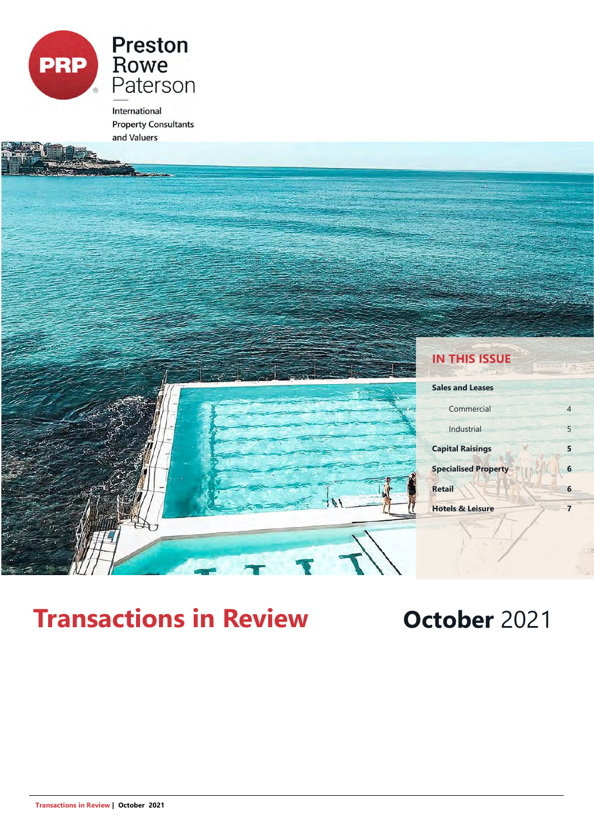

International **Property Consultants** and Valuers



# **Transactions in Review <b>October** 2021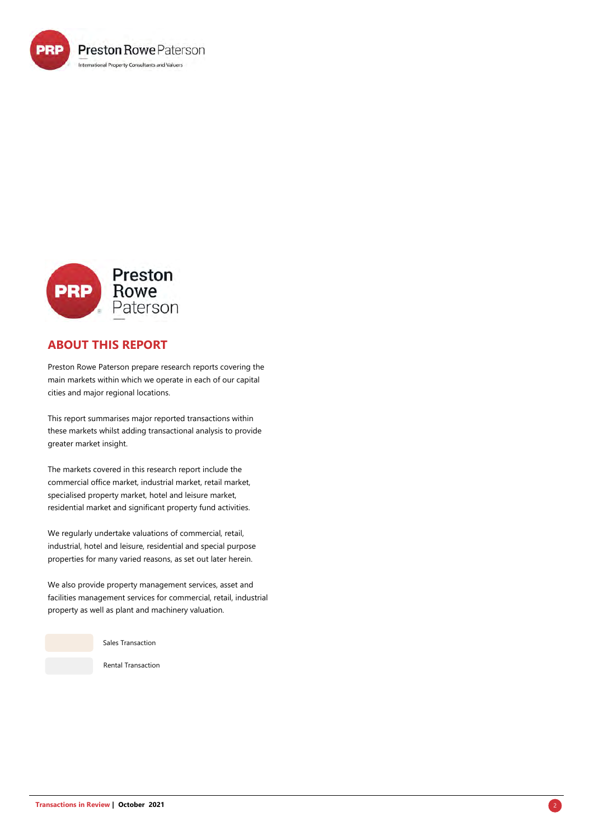



### **ABOUT THIS REPORT**

Preston Rowe Paterson prepare research reports covering the main markets within which we operate in each of our capital cities and major regional locations.

This report summarises major reported transactions within these markets whilst adding transactional analysis to provide greater market insight.

The markets covered in this research report include the commercial office market, industrial market, retail market, specialised property market, hotel and leisure market, residential market and significant property fund activities.

We regularly undertake valuations of commercial, retail, industrial, hotel and leisure, residential and special purpose properties for many varied reasons, as set out later herein.

We also provide property management services, asset and facilities management services for commercial, retail, industrial property as well as plant and machinery valuation.

Sales Transaction

Rental Transaction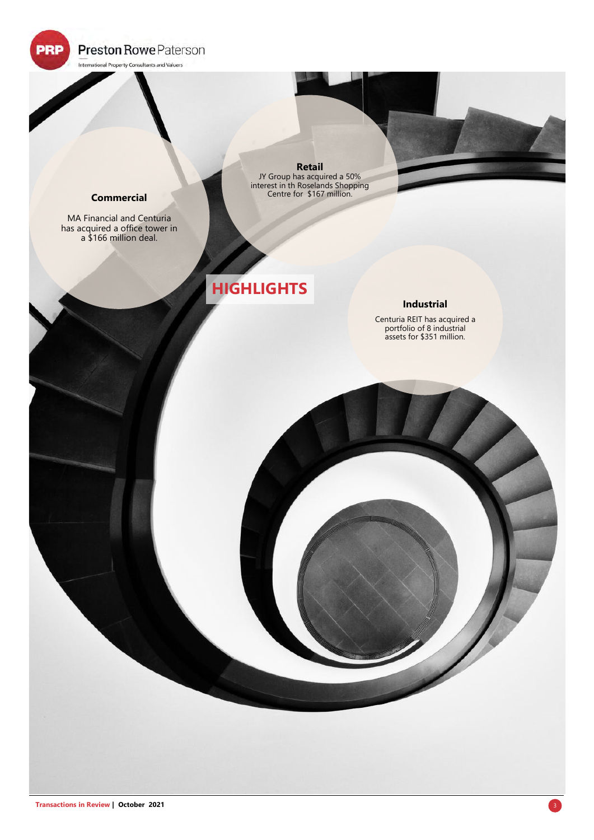**Preston Rowe Paterson** 

International Property Consultants and Valuers

**PRP** 

#### **Commercial**

MA Financial and Centuria has acquired a office tower in a \$166 million deal.

**Retail** JY Group has acquired a 50% interest in th Roselands Shopping Centre for \$167 million.

## **HIGHLIGHTS**

#### **Industrial**

Centuria REIT has acquired a portfolio of 8 industrial assets for \$351 million.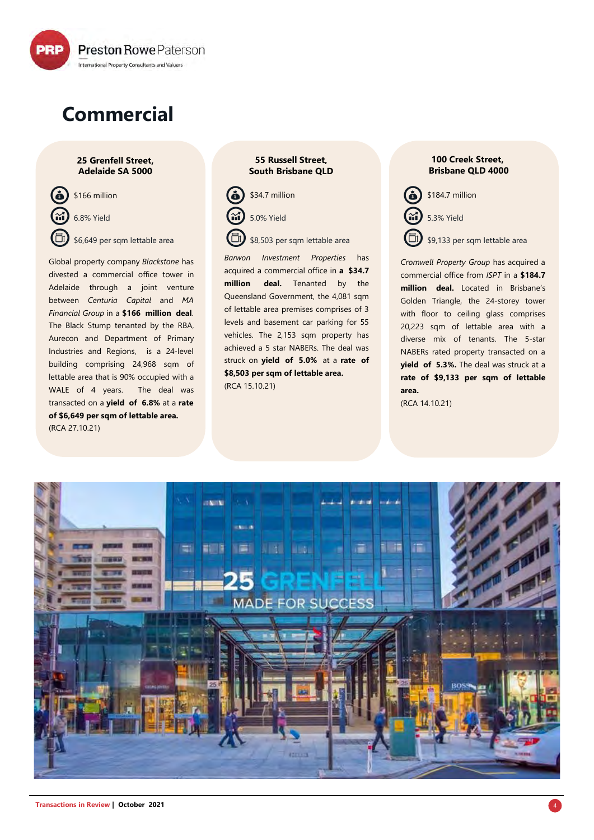

# **Commercial**

#### **25 Grenfell Street, Adelaide SA 5000**

\$166 million 6.8% Yield \$6,649 per sqm lettable area

Global property company *Blackstone* has divested a commercial office tower in Adelaide through a joint venture between *Centuria Capital* and *MA Financial Group* in a **\$166 million deal**. The Black Stump tenanted by the RBA, Aurecon and Department of Primary Industries and Regions, is a 24-level building comprising 24,968 sqm of lettable area that is 90% occupied with a WALE of 4 years. The deal was transacted on a **yield of 6.8%** at a **rate of \$6,649 per sqm of lettable area.**  (RCA 27.10.21)

#### **55 Russell Street, South Brisbane QLD**



*Barwon Investment Properties* has acquired a commercial office in **a \$34.7 million deal.** Tenanted by the Queensland Government, the 4,081 sqm of lettable area premises comprises of 3 levels and basement car parking for 55 vehicles. The 2,153 sqm property has achieved a 5 star NABERs. The deal was struck on **yield of 5.0%** at a **rate of \$8,503 per sqm of lettable area.**  (RCA 15.10.21)

**100 Creek Street, Brisbane QLD 4000**

\$184.7 million 5.3% Yield

\$9,133 per sqm lettable area

*Cromwell Property Group* has acquired a commercial office from *ISPT* in a **\$184.7 million deal.** Located in Brisbane's Golden Triangle, the 24-storey tower with floor to ceiling glass comprises 20,223 sqm of lettable area with a diverse mix of tenants. The 5-star NABERs rated property transacted on a **yield of 5.3%.** The deal was struck at a **rate of \$9,133 per sqm of lettable area.**

(RCA 14.10.21)

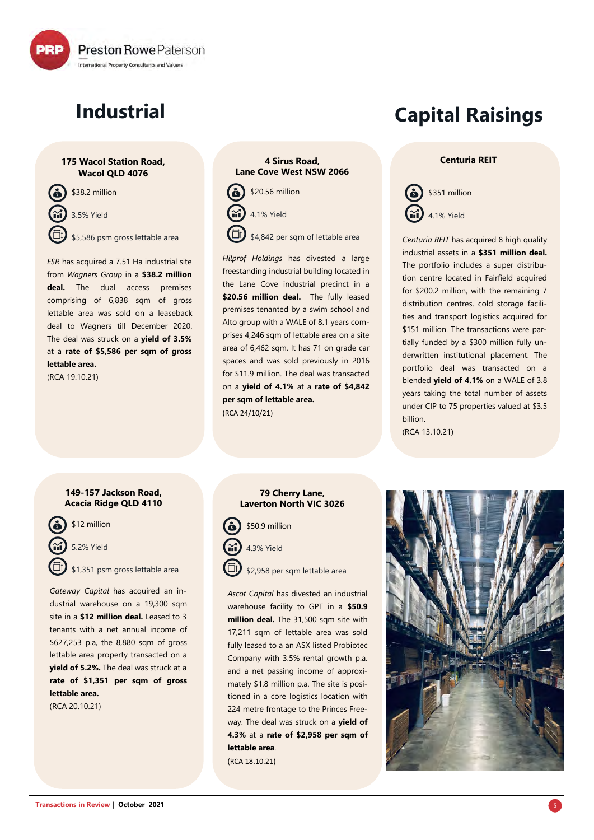

# **Industrial**

#### **175 Wacol Station Road, Wacol QLD 4076**

\$38.2 million 3.5% Yield \$5,586 psm gross lettable area

*ESR* has acquired a 7.51 Ha industrial site from *Wagners Group* in a **\$38.2 million deal.** The dual access premises comprising of 6,838 sqm of gross lettable area was sold on a leaseback deal to Wagners till December 2020. The deal was struck on a **yield of 3.5%** at a **rate of \$5,586 per sqm of gross lettable area.** 

(RCA 19.10.21)

#### **4 Sirus Road, Lane Cove West NSW 2066**



*Hilprof Holdings* has divested a large freestanding industrial building located in the Lane Cove industrial precinct in a \$20.56 million deal. The fully leased premises tenanted by a swim school and Alto group with a WALE of 8.1 years comprises 4,246 sqm of lettable area on a site area of 6,462 sqm. It has 71 on grade car spaces and was sold previously in 2016 for \$11.9 million. The deal was transacted on a **yield of 4.1%** at a **rate of \$4,842 per sqm of lettable area.**  (RCA 24/10/21)

# **Capital Raisings**

#### **Centuria REIT**



*Centuria REIT* has acquired 8 high quality industrial assets in a **\$351 million deal.**  The portfolio includes a super distribution centre located in Fairfield acquired for \$200.2 million, with the remaining 7 distribution centres, cold storage facilities and transport logistics acquired for \$151 million. The transactions were partially funded by a \$300 million fully underwritten institutional placement. The portfolio deal was transacted on a blended **yield of 4.1%** on a WALE of 3.8 years taking the total number of assets under CIP to 75 properties valued at \$3.5 billion. (RCA 13.10.21)

#### **149-157 Jackson Road, Acacia Ridge QLD 4110**

\$12 million

5.2% Yield

\$1,351 psm gross lettable area

*Gateway Capital* has acquired an industrial warehouse on a 19,300 sqm site in a **\$12 million deal.** Leased to 3 tenants with a net annual income of \$627,253 p.a, the 8,880 sqm of gross lettable area property transacted on a **yield of 5.2%.** The deal was struck at a **rate of \$1,351 per sqm of gross lettable area.** 

(RCA 20.10.21)

#### **79 Cherry Lane, Laverton North VIC 3026**



\$2,958 per sqm lettable area

*Ascot Capital* has divested an industrial warehouse facility to GPT in a **\$50.9 million deal.** The 31,500 sqm site with 17,211 sqm of lettable area was sold fully leased to a an ASX listed Probiotec Company with 3.5% rental growth p.a. and a net passing income of approximately \$1.8 million p.a. The site is positioned in a core logistics location with 224 metre frontage to the Princes Freeway. The deal was struck on a **yield of 4.3%** at a **rate of \$2,958 per sqm of lettable area**. (RCA 18.10.21)

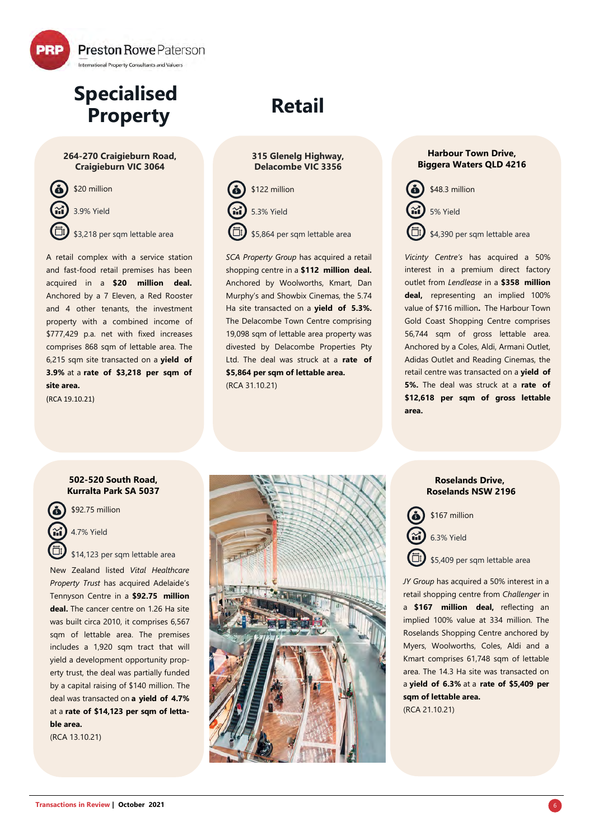

## **Specialised Property**

#### **264-270 Craigieburn Road, Craigieburn VIC 3064**



A retail complex with a service station and fast-food retail premises has been acquired in a **\$20 million deal.** Anchored by a 7 Eleven, a Red Rooster and 4 other tenants, the investment property with a combined income of \$777,429 p.a. net with fixed increases comprises 868 sqm of lettable area. The 6,215 sqm site transacted on a **yield of 3.9%** at a **rate of \$3,218 per sqm of site area.**

(RCA 19.10.21)

# **Retail**

#### **315 Glenelg Highway, Delacombe VIC 3356**



*SCA Property Group* has acquired a retail shopping centre in a **\$112 million deal.**  Anchored by Woolworths, Kmart, Dan Murphy's and Showbix Cinemas, the 5.74 Ha site transacted on a **yield of 5.3%.** The Delacombe Town Centre comprising 19,098 sqm of lettable area property was divested by Delacombe Properties Pty Ltd. The deal was struck at a **rate of \$5,864 per sqm of lettable area.**  (RCA 31.10.21)

#### **Harbour Town Drive, Biggera Waters QLD 4216**



5% Yield

\$4,390 per sqm lettable area

*Vicinty Centre's* has acquired a 50% interest in a premium direct factory outlet from *Lendlease* in a **\$358 million deal,** representing an implied 100% value of \$716 million**.** The Harbour Town Gold Coast Shopping Centre comprises 56,744 sqm of gross lettable area. Anchored by a Coles, Aldi, Armani Outlet, Adidas Outlet and Reading Cinemas, the retail centre was transacted on a **yield of 5%.** The deal was struck at a **rate of \$12,618 per sqm of gross lettable area.** 

#### **502-520 South Road, Kurralta Park SA 5037**



\$92.75 million

4.7% Yield

\$14,123 per sqm lettable area

New Zealand listed *Vital Healthcare Property Trust* has acquired Adelaide's Tennyson Centre in a **\$92.75 million deal.** The cancer centre on 1.26 Ha site was built circa 2010, it comprises 6,567 sqm of lettable area. The premises includes a 1,920 sqm tract that will yield a development opportunity property trust, the deal was partially funded by a capital raising of \$140 million. The deal was transacted on **a yield of 4.7%** at a **rate of \$14,123 per sqm of lettable area.**

(RCA 13.10.21)



#### **Roselands Drive, Roselands NSW 2196**

\$167 million



\$5,409 per sqm lettable area

*JY Group* has acquired a 50% interest in a retail shopping centre from *Challenger* in a **\$167 million deal,** reflecting an implied 100% value at 334 million. The Roselands Shopping Centre anchored by Myers, Woolworths, Coles, Aldi and a Kmart comprises 61,748 sqm of lettable area. The 14.3 Ha site was transacted on a **yield of 6.3%** at a **rate of \$5,409 per sqm of lettable area.**  (RCA 21.10.21)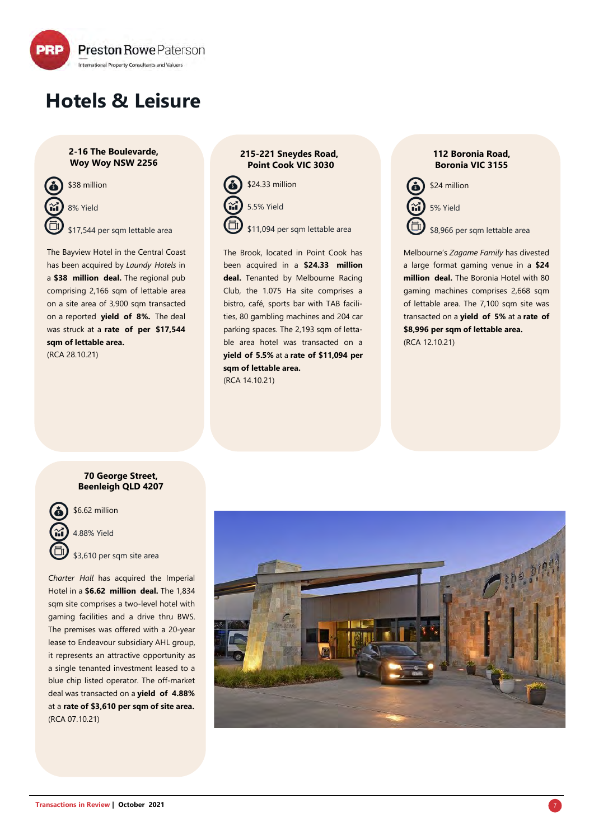

# **Hotels & Leisure**

**2-16 The Boulevarde, Woy Woy NSW 2256** 



8% Yield

\$17,544 per sqm lettable area

The Bayview Hotel in the Central Coast has been acquired by *Laundy Hotels* in a **\$38 million deal.** The regional pub comprising 2,166 sqm of lettable area on a site area of 3,900 sqm transacted on a reported **yield of 8%.** The deal was struck at a **rate of per \$17,544 sqm of lettable area.** 

(RCA 28.10.21)

#### **215-221 Sneydes Road, Point Cook VIC 3030**



The Brook, located in Point Cook has been acquired in a **\$24.33 million deal.** Tenanted by Melbourne Racing Club, the 1.075 Ha site comprises a bistro, café, sports bar with TAB facilities, 80 gambling machines and 204 car parking spaces. The 2,193 sqm of lettable area hotel was transacted on a **yield of 5.5%** at a **rate of \$11,094 per sqm of lettable area.** (RCA 14.10.21)

**112 Boronia Road, Boronia VIC 3155**



Melbourne's *Zagame Family* has divested a large format gaming venue in a **\$24 million deal.** The Boronia Hotel with 80 gaming machines comprises 2,668 sqm of lettable area. The 7,100 sqm site was transacted on a **yield of 5%** at a **rate of \$8,996 per sqm of lettable area.**  (RCA 12.10.21)

#### **70 George Street, Beenleigh QLD 4207**



\$6.62 million

4.88% Yield

\$3,610 per sqm site area

*Charter Hall* has acquired the Imperial Hotel in a **\$6.62 million deal.** The 1,834 sqm site comprises a two-level hotel with gaming facilities and a drive thru BWS. The premises was offered with a 20-year lease to Endeavour subsidiary AHL group, it represents an attractive opportunity as a single tenanted investment leased to a blue chip listed operator. The off-market deal was transacted on a **yield of 4.88%** at a **rate of \$3,610 per sqm of site area.** (RCA 07.10.21)

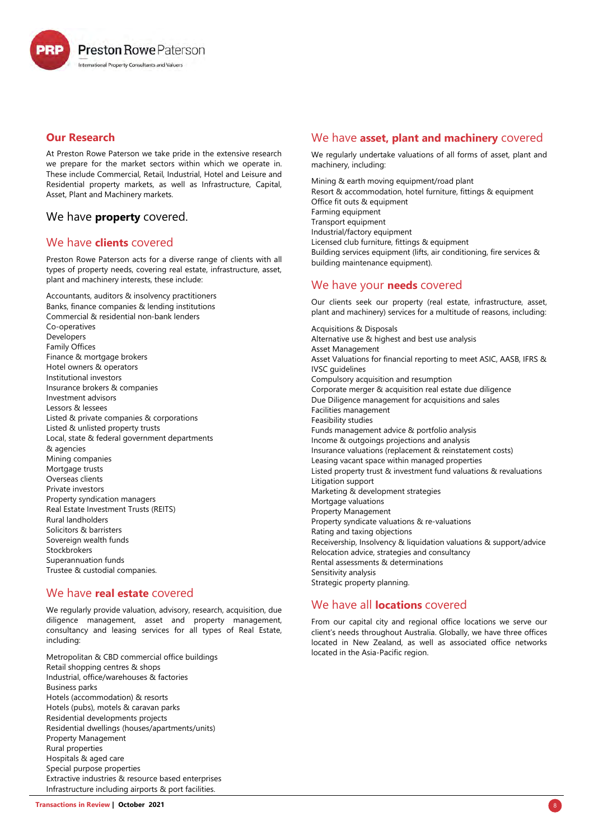**Preston Rowe Paterson** International Property Consultants and Valuers

#### **Our Research**

At Preston Rowe Paterson we take pride in the extensive research we prepare for the market sectors within which we operate in. These include Commercial, Retail, Industrial, Hotel and Leisure and Residential property markets, as well as Infrastructure, Capital, Asset, Plant and Machinery markets.

#### We have **property** covered.

#### We have **clients** covered

Preston Rowe Paterson acts for a diverse range of clients with all types of property needs, covering real estate, infrastructure, asset, plant and machinery interests, these include:

Accountants, auditors & insolvency practitioners Banks, finance companies & lending institutions Commercial & residential non-bank lenders Co-operatives Developers Family Offices Finance & mortgage brokers Hotel owners & operators Institutional investors Insurance brokers & companies Investment advisors Lessors & lessees Listed & private companies & corporations Listed & unlisted property trusts Local, state & federal government departments & agencies Mining companies Mortgage trusts Overseas clients Private investors Property syndication managers Real Estate Investment Trusts (REITS) Rural landholders Solicitors & barristers Sovereign wealth funds Stockbrokers Superannuation funds Trustee & custodial companies.

#### We have **real estate** covered

We regularly provide valuation, advisory, research, acquisition, due diligence management, asset and property management, consultancy and leasing services for all types of Real Estate, including:

Metropolitan & CBD commercial office buildings Retail shopping centres & shops Industrial, office/warehouses & factories Business parks Hotels (accommodation) & resorts Hotels (pubs), motels & caravan parks Residential developments projects Residential dwellings (houses/apartments/units) Property Management Rural properties Hospitals & aged care Special purpose properties Extractive industries & resource based enterprises Infrastructure including airports & port facilities.

#### We have **asset, plant and machinery** covered

We regularly undertake valuations of all forms of asset, plant and machinery, including:

Mining & earth moving equipment/road plant Resort & accommodation, hotel furniture, fittings & equipment Office fit outs & equipment Farming equipment Transport equipment Industrial/factory equipment Licensed club furniture, fittings & equipment Building services equipment (lifts, air conditioning, fire services & building maintenance equipment).

### We have your **needs** covered

Our clients seek our property (real estate, infrastructure, asset, plant and machinery) services for a multitude of reasons, including:

Acquisitions & Disposals Alternative use & highest and best use analysis Asset Management Asset Valuations for financial reporting to meet ASIC, AASB, IFRS & IVSC guidelines Compulsory acquisition and resumption Corporate merger & acquisition real estate due diligence Due Diligence management for acquisitions and sales Facilities management Feasibility studies Funds management advice & portfolio analysis Income & outgoings projections and analysis Insurance valuations (replacement & reinstatement costs) Leasing vacant space within managed properties Listed property trust & investment fund valuations & revaluations Litigation support Marketing & development strategies Mortgage valuations Property Management Property syndicate valuations & re-valuations Rating and taxing objections Receivership, Insolvency & liquidation valuations & support/advice Relocation advice, strategies and consultancy Rental assessments & determinations Sensitivity analysis Strategic property planning.

#### We have all **locations** covered

From our capital city and regional office locations we serve our client's needs throughout Australia. Globally, we have three offices located in New Zealand, as well as associated office networks located in the Asia-Pacific region.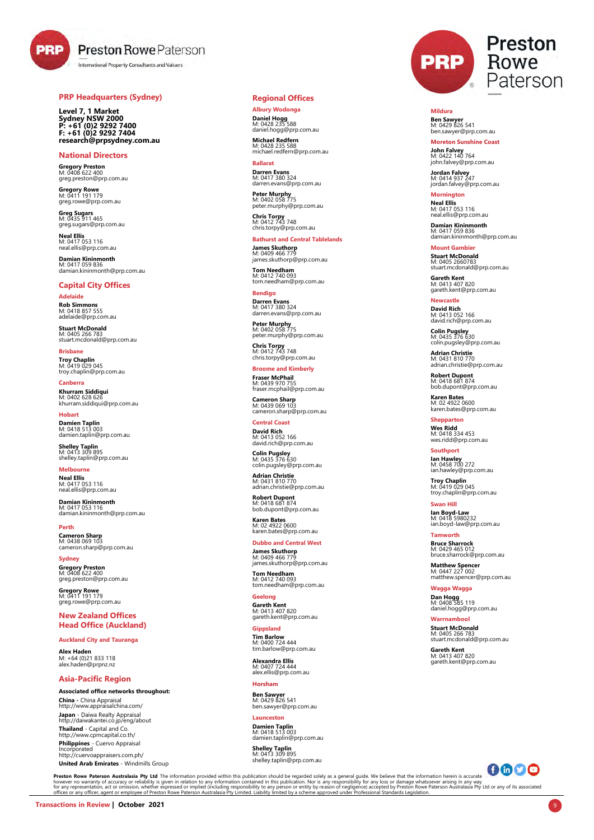**PRP** 

### **Preston Rowe Paterson**

International Property Consultants and Valuers

#### **PRP Headquarters (Sydney)**

**Level 7, 1 Market Sydney NSW 2000 P: +61 (0)2 9292 7400 F: +61 (0)2 9292 7404 research@prpsydney.com.au**

**National Directors Gregory Preston** M: 0408 622 400 greg.preston@prp.com.au

**Gregory Rowe** M: 0411 191 179 greg.rowe@prp.com.au

**Greg Sugars**<br>M: 0435 911 465<br>greg.sugars@prp.com.au

**Neal Ellis** M: 0417 053 116 neal.ellis@prp.com.au

**Damian Kininmonth** M: 0417 059 836 damian.kininmonth@prp.com.au

#### **Capital City Offices**

**Adelaide Rob Simmons** M: 0418 857 555 adelaide@prp.com.au

**Stuart McDonald** M: 0405 266 783 stuart.mcdonald@prp.com.au

**Brisbane Troy Chaplin** M: 0419 029 045 troy.chaplin@prp.com.au

**Canberra Khurram Siddiqui**<br>M: 0402 628 626<br>khurram.siddiqui@prp.com.au

**Hobart Damien Taplin** M: 0418 513 003 damien.taplin@prp.com.au

**Shelley Taplin**<br>M: 0413 309 895<br>shelley.taplin@prp.com.au

**Melbourne Neal Ellis** M: 0417 053 116 neal.ellis@prp.com.au

**Damian Kininmonth**<br>M: 0417 053 116<br>damian.kininmonth@prp.com.au

**Perth Cameron Sharp** M: 0438 069 103 cameron.sharp@prp.com.au

**Sydney Gregory Preston** M: 0408 622 400 greg.preston@prp.com.au

**Gregory Rowe**<br>M: 0411 191 179<br>greg.rowe@prp.com.au

**New Zealand Offices Head Office (Auckland)**

**Auckland City and Tauranga**

**Alex Haden** M: +64 (0)21 833 118 [alex.haden@prpnz.nz](mailto:alex.haden@prpnz.nz)

#### **Asia-Pacific Region**

**Associated office networks throughout:**

**China -** China Appraisal <http://www.appraisalchina.com/> **Japan** - Daiwa Realty Appraisal <http://daiwakantei.co.jp/eng/about> **Thailand** - Capital and Co. <http://www.cpmcapital.co.th/>

**Philippines** - Cuervo Appraisal Incorporated http://cuervoappraisers.com.ph/

**United Arab Emirates** - Windmills Group

#### **Regional Offices**

**Albury Wodonga Daniel Hogg** M: 0428 235 588 M: 0428 235 588<br>daniel.hogg@prp.com.au

**Michael Redfern** M: 0428 235 588 michael.redfern@prp.com.au

**Ballarat Darren Evans** M: 0417 380 324 darren.evans@prp.com.au

**Peter Murphy** M: 0402 058 775 peter.murphy@prp.com.au

**Chris Torpy** M: 0412 743 748 chris.torpy@prp.com.au

**Bathurst and Central Tablelands**

**James Skuthorp**<br>M: 0409 466 779<br>james.skuthorp@prp.com.au **Tom Needham**

M: 0412 740 093 tom.needham@prp.com.au

**Bendigo Darren Evans** M: 0417 380 324 darren.evans@prp.com.au

**Peter Murphy** M: 0402 058 775 peter.murphy@prp.com.au

**Chris Torpy** M: 0412 743 748 chris.torpy@prp.com.au

**Broome and Kimberly**

**Fraser McPhail** M: 0439 970 755 fraser.mcphail@prp.com.au

**Cameron Sharp** M: 0439 069 103 cameron.sharp@prp.com.au

**Central Coast David Rich** M: 0413 052 166 [david.rich@prp.com.au](mailto:david.rich@prpncle.com.au)

**Colin Pugsley** M: 0435 376 630 colin.pugsley@prp.com.au

**Adrian Christie** M: 0431 810 770 adrian.christie@prp.com.au

**Robert Dupont** M: 0418 681 874 [bob.dupont@prp.com.au](mailto:bob.dupont@prp.com.au) 

**Karen Bates** M: 02 4922 0600 karen.bates@prp.com.au

**Dubbo and Central West James Skuthorp**<br>M: 0409 466 779<br>james.skuthorp@prp.com.au

**Tom Needham** M: 0412 740 093 tom.needham@prp.com.au

**Geelong Gareth Kent** M: 0413 407 820 [gareth.kent@prp.com.au](mailto:gareth.kent@prp.com.au) 

**Gippsland Tim Barlow** M: 0400 724 444 [tim.barlow@prp.com.au](mailto:tim.barlow@prp.com.au)

**Alexandra Ellis** M: 0407 724 444 [alex.ellis@prp.com.au](mailto:alex.ellis@prp.com.au) 

**Horsham Ben Sawyer** M: 0429 826 541

[ben.sawyer@prp.com.au](mailto:ben.sawyer@prp.com.au)  **Launceston**

# **Damien Taplin** M: 0418 513 003 [damien.taplin@prp.com.au](mailto:damien.taplin@prp.com.au)

**Shelley Taplin** M: 0413 309 895 shelley.taplin@prp.com.au



**Mildura Ben Sawyer** M: 0429 826 541 [ben.sawyer@prp.com.au](mailto:ben.sawyer@prp.com.au) 

**Moreton Sunshine Coast John Falvey** M: 0422 140 764 john.falvey@prp.com.au

**Jordan Falvey** M: 0414 937 247 jordan.falvey@prp.com.au

**Mornington Neal Ellis** M: 0417 053 116 [neal.ellis@prp.com.au](mailto:neal.ellis@prp.com.au) 

**Damian Kininmonth** M: 0417 059 836 [damian.kininmonth@prp.com.au](mailto:damian.kininmonth@prp.com.au)

**Mount Gambier Stuart McDonald** M: 0405 2660783 [stuart.mcdonald@prp.com.au](mailto:bob.dupont@prp.com.au) 

**Gareth Kent** M: 0413 407 820 [gareth.kent@prp.com.au](mailto:gareth.kent@prp.com.au) 

**Newcastle David Rich** M: 0413 052 166 [david.rich@prp.com.au](mailto:david.rich@prpncle.com.au)

**Colin Pugsley** M: 0435 376 630 colin.pugsley@prp.com.au **Adrian Christie**

M: 0431 810 770 adrian.christie@prp.com.au

**Robert Dupont** M: 0418 681 874 [bob.dupont@prp.com.au](mailto:bob.dupont@prp.com.au) 

**Karen Bates** M: 02 4922 0600 karen.bates@prp.com.au

**Shepparton Wes Ridd** M: 0418 334 453 wes.ridd@prp.com.au

**Southport Ian Hawley**  M: 0458 700 272 [ian.hawley@prp.com.au](mailto:southport@prp.com.au)

**Troy Chaplin** M: 0419 029 045 [troy.chaplin@prp.com.au](mailto:troy.chaplin@prpqueensland.com.au) 

**Swan Hill Ian Boyd-Law** M: 0418 5980232 ian.boyd-[law@prp.com.au](mailto:bruce.sharrock@prp.com.au) 

**Tamworth Bruce Sharrock** M: 0429 465 012 [bruce.sharrock@prp.com.au](mailto:bruce.sharrock@prp.com.au)

**Matthew Spencer** M: 0447 227 002 [matthew.spencer@prp.com.au](mailto:matt.spencer@prp.com.au) 

**Wagga Wagga Dan Hogg** M: 0408 585 119 [daniel.hogg@prp.com.au](mailto:daniel.hogg@prp.com.au) 

**Warrnambool Stuart McDonald** M: 0405 266 783 [stuart.mcdonald@prp.com.au](mailto:stuart.mcdonald@prp.com.au)

**Gareth Kent** M: 0413 407 820 [gareth.kent@prp.com.au](mailto:gareth.kent@prp.com.au) 



Preston Rowe Paterson Australasia Pty Ltd The information provided within this publication should be regarded solely as a general guide. We believe that the information consideration becurate the information property of an